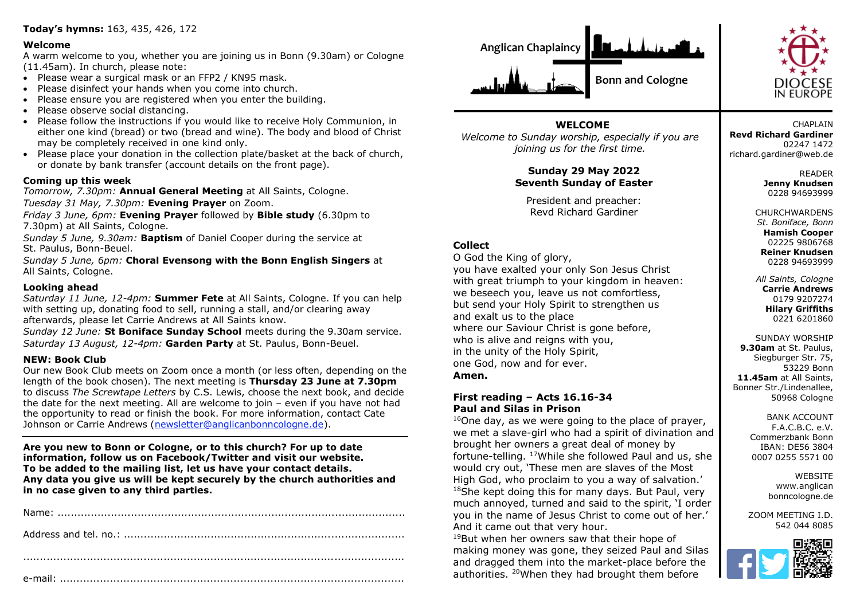# **Today's hymns:** 163, 435, 426, 172

#### **Welcome**

A warm welcome to you, whether you are joining us in Bonn (9.30am) or Cologne (11.45am). In church, please note:

- Please wear a surgical mask or an FFP2 / KN95 mask.
- Please disinfect your hands when you come into church.
- Please ensure you are registered when you enter the building.
- Please observe social distancing.
- Please follow the instructions if you would like to receive Holy Communion, in either one kind (bread) or two (bread and wine). The body and blood of Christ may be completely received in one kind only.
- Please place your donation in the collection plate/basket at the back of church, or donate by bank transfer (account details on the front page).

## **Coming up this week**

*Tomorrow, 7.30pm:* **Annual General Meeting** at All Saints, Cologne. *Tuesday 31 May, 7.30pm:* **Evening Prayer** on Zoom.

*Friday 3 June, 6pm:* **Evening Prayer** followed by **Bible study** (6.30pm to 7.30pm) at All Saints, Cologne.

*Sunday 5 June, 9.30am:* **Baptism** of Daniel Cooper during the service at St. Paulus, Bonn-Beuel.

*Sunday 5 June, 6pm:* **Choral Evensong with the Bonn English Singers** at All Saints, Cologne.

#### **Looking ahead**

*Saturday 11 June, 12-4pm:* **Summer Fete** at All Saints, Cologne. If you can help with setting up, donating food to sell, running a stall, and/or clearing away afterwards, please let Carrie Andrews at All Saints know.

*Sunday 12 June:* **St Boniface Sunday School** meets during the 9.30am service. *Saturday 13 August, 12-4pm:* **Garden Party** at St. Paulus, Bonn-Beuel.

### **NEW: Book Club**

Our new Book Club meets on Zoom once a month (or less often, depending on the length of the book chosen). The next meeting is **Thursday 23 June at 7.30pm** to discuss *The Screwtape Letters* by C.S. Lewis, choose the next book, and decide the date for the next meeting. All are welcome to join – even if you have not had the opportunity to read or finish the book. For more information, contact Cate Johnson or Carrie Andrews [\(newsletter@anglicanbonncologne.de\)](mailto:newsletter@anglicanbonncologne.de).

**Are you new to Bonn or Cologne, or to this church? For up to date information, follow us on Facebook/Twitter and visit our website. To be added to the mailing list, let us have your contact details. Any data you give us will be kept securely by the church authorities and in no case given to any third parties.**





**WELCOME** *Welcome to Sunday worship, especially if you are joining us for the first time.*

> **Sunday 29 May 2022 Seventh Sunday of Easter**

President and preacher: Revd Richard Gardiner

# **Collect**

O God the King of glory, you have exalted your only Son Jesus Christ with great triumph to your kingdom in heaven: we beseech you, leave us not comfortless, but send your Holy Spirit to strengthen us and exalt us to the place where our Saviour Christ is gone before, who is alive and reigns with you, in the unity of the Holy Spirit, one God, now and for ever. **Amen.**

#### **First reading – Acts 16.16-34 Paul and Silas in Prison**

 $16$ One day, as we were going to the place of prayer, we met a slave-girl who had a spirit of divination and brought her owners a great deal of money by fortune-telling. <sup>17</sup>While she followed Paul and us, she would cry out, 'These men are slaves of the Most High God, who proclaim to you a way of salvation.' <sup>18</sup>She kept doing this for many days. But Paul, very much annoyed, turned and said to the spirit, 'I order you in the name of Jesus Christ to come out of her.' And it came out that very hour.

<sup>19</sup>But when her owners saw that their hope of making money was gone, they seized Paul and Silas and dragged them into the market-place before the authorities. <sup>20</sup>When they had brought them before

**CHAPI AIN Revd Richard Gardiner** 02247 1472 richard.gardiner@web.de

> READER **Jenny Knudsen** 0228 94693999

**CHURCHWARDENS** *St. Boniface, Bonn* **Hamish Cooper** 02225 9806768 **Reiner Knudsen**

0228 94693999 *All Saints, Cologne* **Carrie Andrews** 0179 9207274

**Hilary Griffiths** 0221 6201860 SUNDAY WORSHIP

**9.30am** at St. Paulus, Siegburger Str. 75, 53229 Bonn **11.45am** at All Saints, Bonner Str./Lindenallee, 50968 Cologne

> BANK ACCOUNT F.A.C.B.C. e.V. Commerzbank Bonn IBAN: DE56 3804 0007 0255 5571 00

> > **WEBSITE** www.anglican bonncologne.de

ZOOM MEETING I.D. 542 044 8085